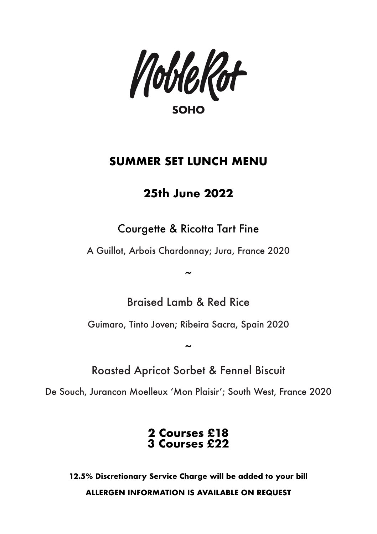NobleRot **SOHO** 

## **SUMMER SET LUNCH MENU**

## **25th June 2022**

Courgette & Ricotta Tart Fine

A Guillot, Arbois Chardonnay; Jura, France 2020

Braised Lamb & Red Rice

 $\tilde{a}$ 

Guimaro, Tinto Joven; Ribeira Sacra, Spain 2020

~ Roasted Apricot Sorbet & Fennel Biscuit

De Souch, Jurancon Moelleux 'Mon Plaisir'; South West, France 2020

**2 Courses £18 3 Courses £22**

**12.5% Discretionary Service Charge will be added to your bill ALLERGEN INFORMATION IS AVAILABLE ON REQUEST**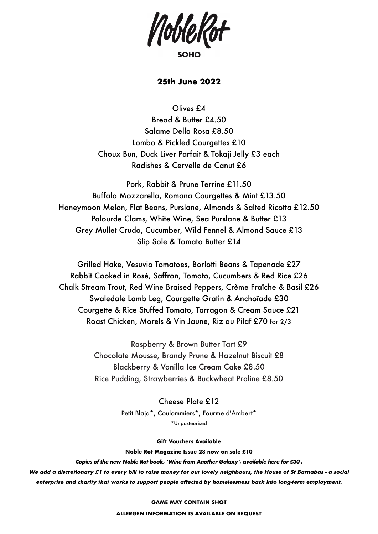

## **25th June 2022**

Olives £4

Bread & Butter £4.50 Salame Della Rosa £8.50 Lombo & Pickled Courgettes £10 Choux Bun, Duck Liver Parfait & Tokaji Jelly £3 each Radishes & Cervelle de Canut £6

Pork, Rabbit & Prune Terrine £11.50 Buffalo Mozzarella, Romana Courgettes & Mint £13.50 Honeymoon Melon, Flat Beans, Purslane, Almonds & Salted Ricotta £12.50 Palourde Clams, White Wine, Sea Purslane & Butter £13 Grey Mullet Crudo, Cucumber, Wild Fennel & Almond Sauce £13 Slip Sole & Tomato Butter £14

Grilled Hake, Vesuvio Tomatoes, Borlotti Beans & Tapenade £27 Rabbit Cooked in Rosé, Saffron, Tomato, Cucumbers & Red Rice £26 Chalk Stream Trout, Red Wine Braised Peppers, Crème Fraîche & Basil £26 Swaledale Lamb Leg, Courgette Gratin & Anchoïade £30 Courgette & Rice Stuffed Tomato, Tarragon & Cream Sauce £21 Roast Chicken, Morels & Vin Jaune, Riz au Pilaf £70 for 2/3

> Raspberry & Brown Butter Tart £9 Chocolate Mousse, Brandy Prune & Hazelnut Biscuit £8 Blackberry & Vanilla Ice Cream Cake £8.50 Rice Pudding, Strawberries & Buckwheat Praline £8.50

> > Cheese Plate £12 Petit Blaja\*, Coulommiers\*, Fourme d'Ambert\* \*Unpasteurised

> > > **Gift Vouchers Available**

**Noble Rot Magazine Issue 28 now on sale £10**

**Copies of the new Noble Rot book, 'Wine from Another Galaxy', available here for £30 .**

**We add a discretionary £1 to every bill to raise money for our lovely neighbours, the House of St Barnabas - a social enterprise and charity that works to support people affected by homelessness back into long-term employment.**

#### **GAME MAY CONTAIN SHOT**

**ALLERGEN INFORMATION IS AVAILABLE ON REQUEST**